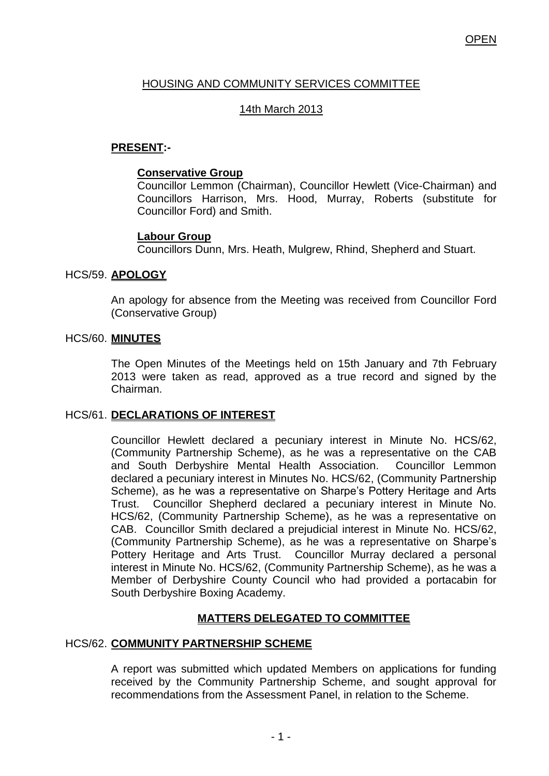# HOUSING AND COMMUNITY SERVICES COMMITTEE

## 14th March 2013

## **PRESENT:-**

### **Conservative Group**

Councillor Lemmon (Chairman), Councillor Hewlett (Vice-Chairman) and Councillors Harrison, Mrs. Hood, Murray, Roberts (substitute for Councillor Ford) and Smith.

### **Labour Group**

Councillors Dunn, Mrs. Heath, Mulgrew, Rhind, Shepherd and Stuart.

### HCS/59. **APOLOGY**

An apology for absence from the Meeting was received from Councillor Ford (Conservative Group)

#### HCS/60. **MINUTES**

The Open Minutes of the Meetings held on 15th January and 7th February 2013 were taken as read, approved as a true record and signed by the Chairman.

#### HCS/61. **DECLARATIONS OF INTEREST**

Councillor Hewlett declared a pecuniary interest in Minute No. HCS/62, (Community Partnership Scheme), as he was a representative on the CAB and South Derbyshire Mental Health Association. Councillor Lemmon declared a pecuniary interest in Minutes No. HCS/62, (Community Partnership Scheme), as he was a representative on Sharpe's Pottery Heritage and Arts Trust. Councillor Shepherd declared a pecuniary interest in Minute No. HCS/62, (Community Partnership Scheme), as he was a representative on CAB. Councillor Smith declared a prejudicial interest in Minute No. HCS/62, (Community Partnership Scheme), as he was a representative on Sharpe's Pottery Heritage and Arts Trust. Councillor Murray declared a personal interest in Minute No. HCS/62, (Community Partnership Scheme), as he was a Member of Derbyshire County Council who had provided a portacabin for South Derbyshire Boxing Academy.

## **MATTERS DELEGATED TO COMMITTEE**

## HCS/62. **COMMUNITY PARTNERSHIP SCHEME**

A report was submitted which updated Members on applications for funding received by the Community Partnership Scheme, and sought approval for recommendations from the Assessment Panel, in relation to the Scheme.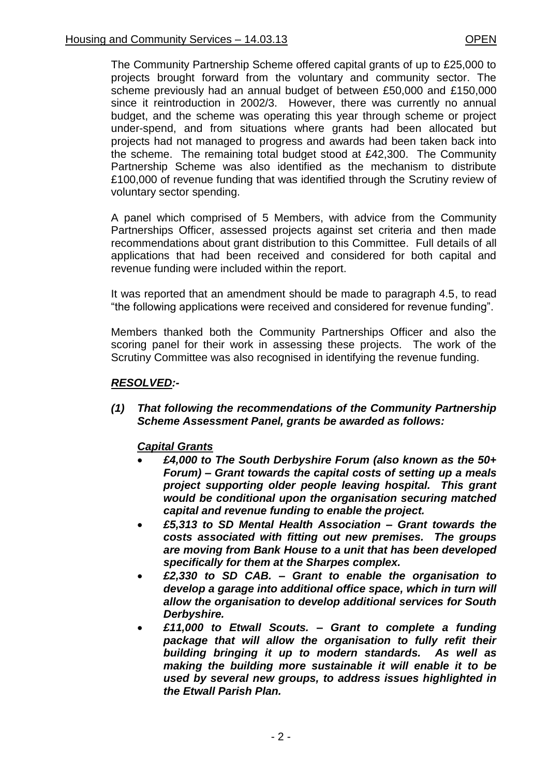The Community Partnership Scheme offered capital grants of up to £25,000 to projects brought forward from the voluntary and community sector. The scheme previously had an annual budget of between £50,000 and £150,000 since it reintroduction in 2002/3. However, there was currently no annual budget, and the scheme was operating this year through scheme or project under-spend, and from situations where grants had been allocated but projects had not managed to progress and awards had been taken back into the scheme. The remaining total budget stood at £42,300. The Community Partnership Scheme was also identified as the mechanism to distribute £100,000 of revenue funding that was identified through the Scrutiny review of voluntary sector spending.

A panel which comprised of 5 Members, with advice from the Community Partnerships Officer, assessed projects against set criteria and then made recommendations about grant distribution to this Committee. Full details of all applications that had been received and considered for both capital and revenue funding were included within the report.

It was reported that an amendment should be made to paragraph 4.5, to read "the following applications were received and considered for revenue funding".

Members thanked both the Community Partnerships Officer and also the scoring panel for their work in assessing these projects. The work of the Scrutiny Committee was also recognised in identifying the revenue funding.

### *RESOLVED:-*

*(1) That following the recommendations of the Community Partnership Scheme Assessment Panel, grants be awarded as follows:*

## *Capital Grants*

- *£4,000 to The South Derbyshire Forum (also known as the 50+ Forum) – Grant towards the capital costs of setting up a meals project supporting older people leaving hospital. This grant would be conditional upon the organisation securing matched capital and revenue funding to enable the project.*
- *£5,313 to SD Mental Health Association – Grant towards the costs associated with fitting out new premises. The groups are moving from Bank House to a unit that has been developed specifically for them at the Sharpes complex.*
- *£2,330 to SD CAB. – Grant to enable the organisation to develop a garage into additional office space, which in turn will allow the organisation to develop additional services for South Derbyshire.*
- *£11,000 to Etwall Scouts. – Grant to complete a funding package that will allow the organisation to fully refit their building bringing it up to modern standards. As well as making the building more sustainable it will enable it to be used by several new groups, to address issues highlighted in the Etwall Parish Plan.*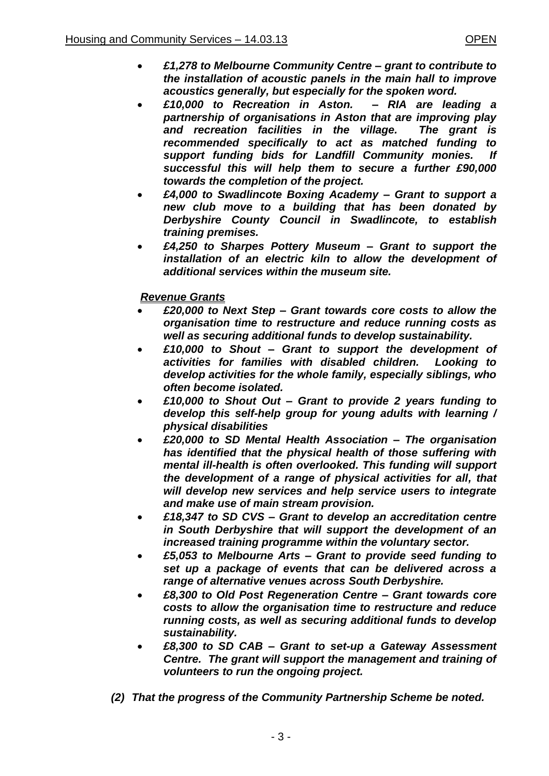- *£1,278 to Melbourne Community Centre – grant to contribute to the installation of acoustic panels in the main hall to improve acoustics generally, but especially for the spoken word.*
- *£10,000 to Recreation in Aston. – RIA are leading a partnership of organisations in Aston that are improving play and recreation facilities in the village. The grant is recommended specifically to act as matched funding to support funding bids for Landfill Community monies. If successful this will help them to secure a further £90,000 towards the completion of the project.*
- *£4,000 to Swadlincote Boxing Academy – Grant to support a new club move to a building that has been donated by Derbyshire County Council in Swadlincote, to establish training premises.*
- *£4,250 to Sharpes Pottery Museum – Grant to support the installation of an electric kiln to allow the development of additional services within the museum site.*

## *Revenue Grants*

- *£20,000 to Next Step – Grant towards core costs to allow the organisation time to restructure and reduce running costs as well as securing additional funds to develop sustainability.*
- *£10,000 to Shout – Grant to support the development of activities for families with disabled children. Looking to develop activities for the whole family, especially siblings, who often become isolated.*
- *£10,000 to Shout Out – Grant to provide 2 years funding to develop this self-help group for young adults with learning / physical disabilities*
- *£20,000 to SD Mental Health Association – The organisation has identified that the physical health of those suffering with mental ill-health is often overlooked. This funding will support the development of a range of physical activities for all, that will develop new services and help service users to integrate and make use of main stream provision.*
- *£18,347 to SD CVS – Grant to develop an accreditation centre in South Derbyshire that will support the development of an increased training programme within the voluntary sector.*
- *£5,053 to Melbourne Arts – Grant to provide seed funding to set up a package of events that can be delivered across a range of alternative venues across South Derbyshire.*
- *£8,300 to Old Post Regeneration Centre – Grant towards core costs to allow the organisation time to restructure and reduce running costs, as well as securing additional funds to develop sustainability.*
- *£8,300 to SD CAB – Grant to set-up a Gateway Assessment Centre. The grant will support the management and training of volunteers to run the ongoing project.*
- *(2) That the progress of the Community Partnership Scheme be noted.*